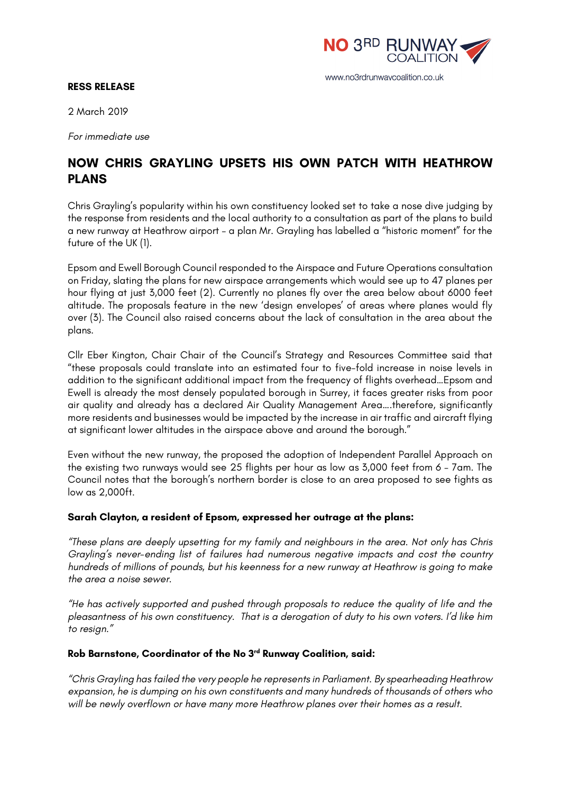

#### **RESS RELEASE**

2 March 2019

*For immediate use*

# **NOW CHRIS GRAYLING UPSETS HIS OWN PATCH WITH HEATHROW PLANS**

Chris Grayling's popularity within his own constituency looked set to take a nose dive judging by the response from residents and the local authority to a consultation as part of the plans to build a new runway at Heathrow airport – a plan Mr. Grayling has labelled a "historic moment" for the future of the UK (1).

Epsom and Ewell Borough Council responded to the Airspace and Future Operations consultation on Friday, slating the plans for new airspace arrangements which would see up to 47 planes per hour flying at just 3,000 feet (2). Currently no planes fly over the area below about 6000 feet altitude. The proposals feature in the new 'design envelopes' of areas where planes would fly over (3). The Council also raised concerns about the lack of consultation in the area about the plans.

Cllr Eber Kington, Chair Chair of the Council's Strategy and Resources Committee said that "these proposals could translate into an estimated four to five-fold increase in noise levels in addition to the significant additional impact from the frequency of flights overhead…Epsom and Ewell is already the most densely populated borough in Surrey, it faces greater risks from poor air quality and already has a declared Air Quality Management Area….therefore, significantly more residents and businesses would be impacted by the increase in air traffic and aircraft flying at significant lower altitudes in the airspace above and around the borough."

Even without the new runway, the proposed the adoption of Independent Parallel Approach on the existing two runways would see 25 flights per hour as low as 3,000 feet from 6 – 7am. The Council notes that the borough's northern border is close to an area proposed to see fights as low as 2,000ft.

### **Sarah Clayton, a resident of Epsom, expressed her outrage at the plans:**

*"These plans are deeply upsetting for my family and neighbours in the area. Not only has Chris Grayling's never-ending list of failures had numerous negative impacts and cost the country hundreds of millions of pounds, but his keenness for a new runway at Heathrow is going to make the area a noise sewer.*

*"He has actively supported and pushed through proposals to reduce the quality of life and the pleasantness of his own constituency. That is a derogation of duty to his own voters. I'd like him to resign."*

#### **Rob Barnstone, Coordinator of the No 3rd Runway Coalition, said:**

*"Chris Grayling has failed the very people he represents in Parliament. By spearheading Heathrow expansion, he is dumping on his own constituents and many hundreds of thousands of others who will be newly overflown or have many more Heathrow planes over their homes as a result.*